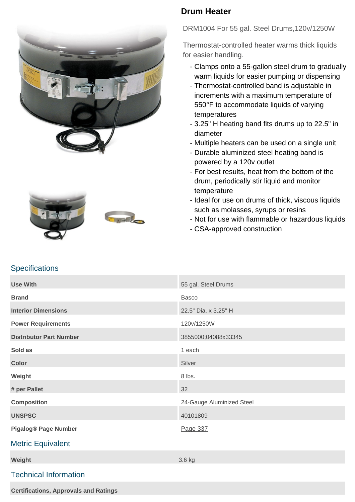





## **Drum Heater**

DRM1004 For 55 gal. Steel Drums,120v/1250W

Thermostat-controlled heater warms thick liquids for easier handling.

- Clamps onto a 55-gallon steel drum to gradually warm liquids for easier pumping or dispensing
- Thermostat-controlled band is adjustable in increments with a maximum temperature of 550°F to accommodate liquids of varying temperatures
- 3.25" H heating band fits drums up to 22.5" in diameter
- Multiple heaters can be used on a single unit
- Durable aluminized steel heating band is powered by a 120v outlet
- For best results, heat from the bottom of the drum, periodically stir liquid and monitor temperature
- Ideal for use on drums of thick, viscous liquids such as molasses, syrups or resins
- Not for use with flammable or hazardous liquids
- CSA-approved construction

## **Specifications**

| <b>Use With</b>                | 55 gal. Steel Drums       |
|--------------------------------|---------------------------|
| <b>Brand</b>                   | <b>Basco</b>              |
| <b>Interior Dimensions</b>     | 22.5" Dia. x 3.25" H      |
| <b>Power Requirements</b>      | 120v/1250W                |
| <b>Distributor Part Number</b> | 3855000;04088x33345       |
| Sold as                        | 1 each                    |
| <b>Color</b>                   | Silver                    |
| Weight                         | 8 lbs.                    |
| # per Pallet                   | 32                        |
| <b>Composition</b>             | 24-Gauge Aluminized Steel |
| <b>UNSPSC</b>                  | 40101809                  |
| <b>Pigalog® Page Number</b>    | Page 337                  |
| <b>Metric Equivalent</b>       |                           |
| Weight                         | 3.6 kg                    |
| <b>Technical Information</b>   |                           |

**Certifications, Approvals and Ratings**